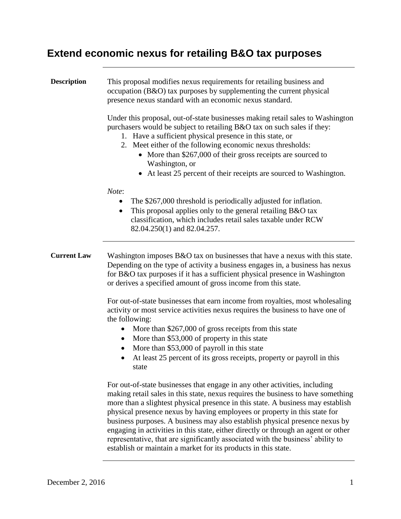## **Extend economic nexus for retailing B&O tax purposes**

| <b>Description</b> | This proposal modifies nexus requirements for retailing business and<br>occupation (B&O) tax purposes by supplementing the current physical<br>presence nexus standard with an economic nexus standard.<br>Under this proposal, out-of-state businesses making retail sales to Washington<br>purchasers would be subject to retailing B&O tax on such sales if they:<br>1. Have a sufficient physical presence in this state, or<br>2. Meet either of the following economic nexus thresholds:<br>• More than \$267,000 of their gross receipts are sourced to<br>Washington, or<br>• At least 25 percent of their receipts are sourced to Washington. |
|--------------------|--------------------------------------------------------------------------------------------------------------------------------------------------------------------------------------------------------------------------------------------------------------------------------------------------------------------------------------------------------------------------------------------------------------------------------------------------------------------------------------------------------------------------------------------------------------------------------------------------------------------------------------------------------|
|                    | Note:<br>The \$267,000 threshold is periodically adjusted for inflation.<br>This proposal applies only to the general retailing B&O tax<br>classification, which includes retail sales taxable under RCW<br>82.04.250(1) and 82.04.257.                                                                                                                                                                                                                                                                                                                                                                                                                |
| <b>Current Law</b> | Washington imposes $B&O$ tax on businesses that have a nexus with this state.<br>Depending on the type of activity a business engages in, a business has nexus<br>for B&O tax purposes if it has a sufficient physical presence in Washington<br>or derives a specified amount of gross income from this state.<br>For out-of-state businesses that earn income from royalties, most wholesaling<br>activity or most service activities nexus requires the business to have one of                                                                                                                                                                     |
|                    | the following:<br>More than \$267,000 of gross receipts from this state<br>More than \$53,000 of property in this state<br>More than \$53,000 of payroll in this state<br>At least 25 percent of its gross receipts, property or payroll in this<br>state                                                                                                                                                                                                                                                                                                                                                                                              |
|                    | For out-of-state businesses that engage in any other activities, including<br>making retail sales in this state, nexus requires the business to have something<br>more than a slightest physical presence in this state. A business may establish<br>. In additional continuous continuous continuous continuous continuous continuous continuous continuous continuo                                                                                                                                                                                                                                                                                  |

physical presence nexus by having employees or property in this state for business purposes. A business may also establish physical presence nexus by engaging in activities in this state, either directly or through an agent or other representative, that are significantly associated with the business' ability to establish or maintain a market for its products in this state.